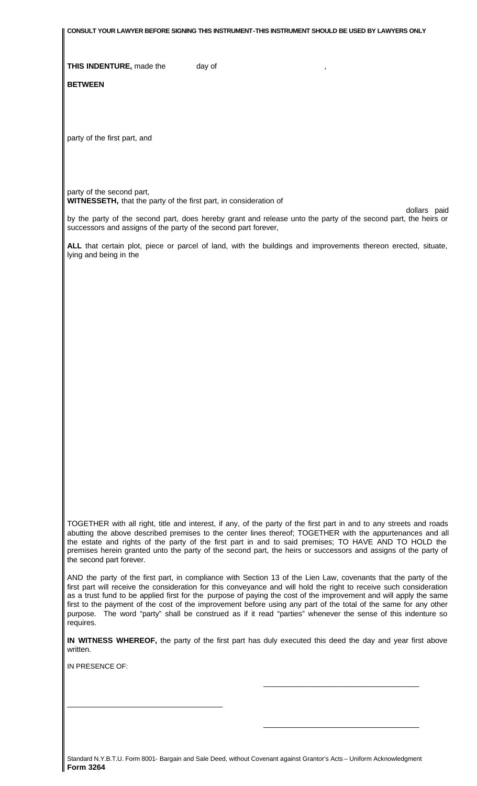**CONSULT YOUR LAWYER BEFORE SIGNING THIS INSTRUMENT-THIS INSTRUMENT SHOULD BE USED BY LAWYERS ONLY THIS INDENTURE,** made the day of , **BETWEEN** party of the first part, and party of the second part, **WITNESSETH,** that the party of the first part, in consideration of dollars paid by the party of the second part, does hereby grant and release unto the party of the second part, the heirs or successors and assigns of the party of the second part forever, **ALL** that certain plot, piece or parcel of land, with the buildings and improvements thereon erected, situate, lying and being in the TOGETHER with all right, title and interest, if any, of the party of the first part in and to any streets and roads abutting the above described premises to the center lines thereof; TOGETHER with the appurtenances and all the estate and rights of the party of the first part in and to said premises; TO HAVE AND TO HOLD the premises herein granted unto the party of the second part, the heirs or successors and assigns of the party of the second part forever. AND the party of the first part, in compliance with Section 13 of the Lien Law, covenants that the party of the first part will receive the consideration for this conveyance and will hold the right to receive such consideration as a trust fund to be applied first for the purpose of paying the cost of the improvement and will apply the same first to the payment of the cost of the improvement before using any part of the total of the same for any other purpose. The word "party" shall be construed as if it read "parties" whenever the sense of this indenture so requires. **IN WITNESS WHEREOF,** the party of the first part has duly executed this deed the day and year first above written. IN PRESENCE OF: \_\_\_\_\_\_\_\_\_\_\_\_\_\_\_\_\_\_\_\_\_\_\_\_\_\_\_\_\_\_\_\_\_\_\_\_\_\_

Standard N.Y.B.T.U. Form 8001- Bargain and Sale Deed, without Covenant against Grantor's Acts – Uniform Acknowledgment **Form 3264**

\_\_\_\_\_\_\_\_\_\_\_\_\_\_\_\_\_\_\_\_\_\_\_\_\_\_\_\_\_\_\_\_\_\_\_\_\_\_

\_\_\_\_\_\_\_\_\_\_\_\_\_\_\_\_\_\_\_\_\_\_\_\_\_\_\_\_\_\_\_\_\_\_\_\_\_\_